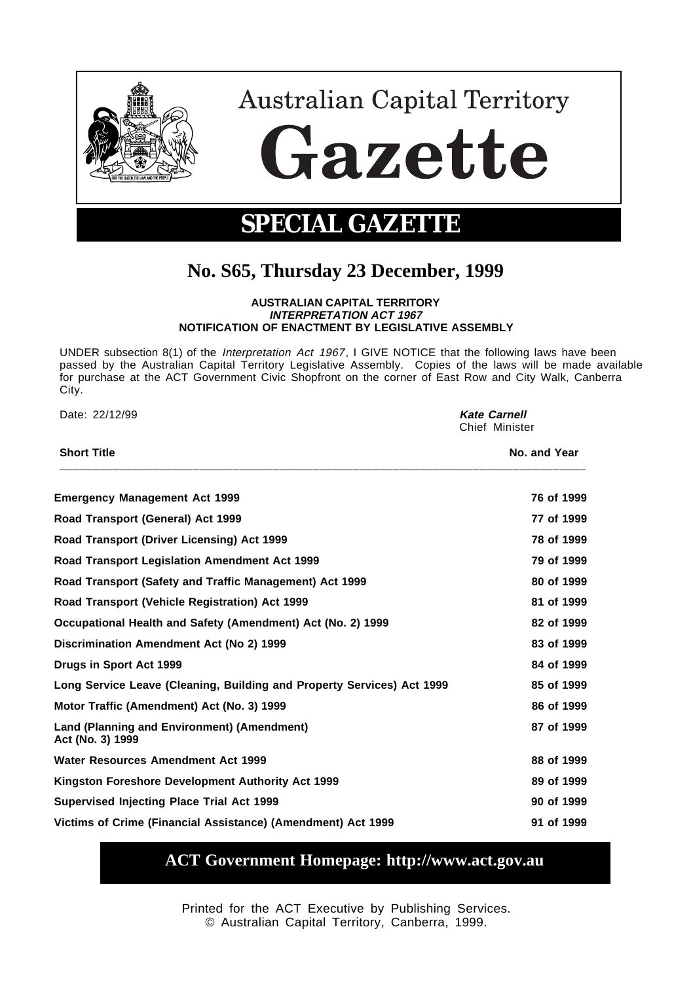

**Australian Capital Territory** 

Gazette

## **SPECIAL GAZETTE**

## **No. S65, Thursday 23 December, 1999**

## **AUSTRALIAN CAPITAL TERRITORY INTERPRETATION ACT 1967 NOTIFICATION OF ENACTMENT BY LEGISLATIVE ASSEMBLY**

UNDER subsection 8(1) of the Interpretation Act 1967, I GIVE NOTICE that the following laws have been passed by the Australian Capital Territory Legislative Assembly. Copies of the laws will be made available for purchase at the ACT Government Civic Shopfront on the corner of East Row and City Walk, Canberra City.

| Date: 22/12/99<br><b>Short Title</b>                                   | <b>Kate Carnell</b><br>Chief Minister |  |
|------------------------------------------------------------------------|---------------------------------------|--|
|                                                                        | No. and Year                          |  |
| <b>Emergency Management Act 1999</b>                                   | 76 of 1999                            |  |
| Road Transport (General) Act 1999                                      | 77 of 1999                            |  |
| Road Transport (Driver Licensing) Act 1999                             | 78 of 1999                            |  |
| <b>Road Transport Legislation Amendment Act 1999</b>                   | 79 of 1999                            |  |
| Road Transport (Safety and Traffic Management) Act 1999                | 80 of 1999                            |  |
| Road Transport (Vehicle Registration) Act 1999                         | 81 of 1999                            |  |
| Occupational Health and Safety (Amendment) Act (No. 2) 1999            | 82 of 1999                            |  |
| Discrimination Amendment Act (No 2) 1999                               | 83 of 1999                            |  |
| Drugs in Sport Act 1999                                                | 84 of 1999                            |  |
| Long Service Leave (Cleaning, Building and Property Services) Act 1999 | 85 of 1999                            |  |
| Motor Traffic (Amendment) Act (No. 3) 1999                             | 86 of 1999                            |  |
| Land (Planning and Environment) (Amendment)<br>Act (No. 3) 1999        | 87 of 1999                            |  |
| Water Resources Amendment Act 1999                                     | 88 of 1999                            |  |
| Kingston Foreshore Development Authority Act 1999                      | 89 of 1999                            |  |
| Supervised Injecting Place Trial Act 1999                              | 90 of 1999                            |  |
| Victims of Crime (Financial Assistance) (Amendment) Act 1999           | 91 of 1999                            |  |

## **ACT Government Homepage: http://www.act.gov.au**

Printed for the ACT Executive by Publishing Services. © Australian Capital Territory, Canberra, 1999.